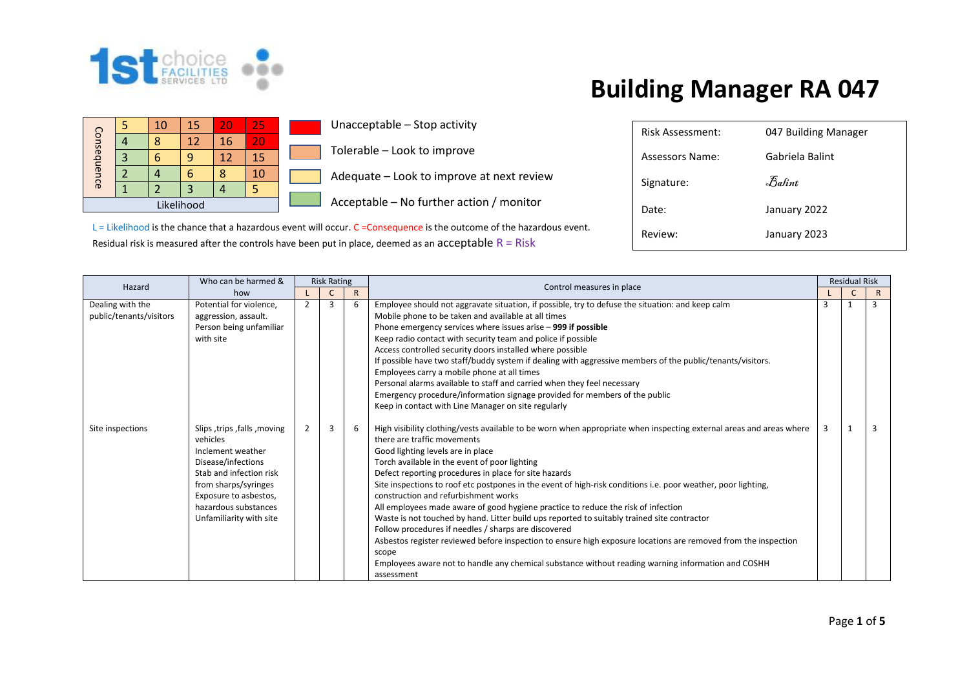

|             |  | 10 | 15 | 20 | 25 |  |  |
|-------------|--|----|----|----|----|--|--|
|             |  |    | 12 | 16 | 20 |  |  |
| Consequence |  | ĥ  |    | 12 | 15 |  |  |
|             |  |    |    | Զ  | 10 |  |  |
|             |  |    |    |    |    |  |  |
| Likelihood  |  |    |    |    |    |  |  |

Unacceptable – Stop activity

Tolerable – Look to improve

Adequate – Look to improve at next review

Acceptable – No further action / monitor

L = Likelihood is the chance that a hazardous event will occur. C = Consequence is the outcome of the hazardous event. Residual risk is measured after the controls have been put in place, deemed as an  $acceptable R = Risk$ 

| Risk Assessment: | 047 Building Manager |
|------------------|----------------------|
| Assessors Name:  | Gabriela Balint      |
| Signature:       | Balint               |
| Date:            | January 2022         |
| Review:          | January 2023         |

| Hazard                                      | Who can be harmed &                                                                                                                                                                                               |                | <b>Risk Rating</b> |              | Control measures in place                                                                                                                                                                                                                                                                                                                                                                                                                                                                                                                                                                                                                                                                                                                                                                                                                                                                                                                             |   | <b>Residual Risk</b> |              |
|---------------------------------------------|-------------------------------------------------------------------------------------------------------------------------------------------------------------------------------------------------------------------|----------------|--------------------|--------------|-------------------------------------------------------------------------------------------------------------------------------------------------------------------------------------------------------------------------------------------------------------------------------------------------------------------------------------------------------------------------------------------------------------------------------------------------------------------------------------------------------------------------------------------------------------------------------------------------------------------------------------------------------------------------------------------------------------------------------------------------------------------------------------------------------------------------------------------------------------------------------------------------------------------------------------------------------|---|----------------------|--------------|
|                                             | how                                                                                                                                                                                                               |                |                    | $\mathsf{R}$ |                                                                                                                                                                                                                                                                                                                                                                                                                                                                                                                                                                                                                                                                                                                                                                                                                                                                                                                                                       |   |                      | $\mathsf{R}$ |
| Dealing with the<br>public/tenants/visitors | Potential for violence,<br>aggression, assault.<br>Person being unfamiliar<br>with site                                                                                                                           | $\overline{2}$ | 3                  | 6            | Employee should not aggravate situation, if possible, try to defuse the situation: and keep calm<br>Mobile phone to be taken and available at all times<br>Phone emergency services where issues arise - 999 if possible<br>Keep radio contact with security team and police if possible<br>Access controlled security doors installed where possible<br>If possible have two staff/buddy system if dealing with aggressive members of the public/tenants/visitors.<br>Employees carry a mobile phone at all times<br>Personal alarms available to staff and carried when they feel necessary<br>Emergency procedure/information signage provided for members of the public<br>Keep in contact with Line Manager on site regularly                                                                                                                                                                                                                    | 3 |                      |              |
| Site inspections                            | Slips, trips, falls, moving<br>vehicles<br>Inclement weather<br>Disease/infections<br>Stab and infection risk<br>from sharps/syringes<br>Exposure to asbestos,<br>hazardous substances<br>Unfamiliarity with site | $\overline{2}$ | 3                  | 6            | High visibility clothing/vests available to be worn when appropriate when inspecting external areas and areas where<br>there are traffic movements<br>Good lighting levels are in place<br>Torch available in the event of poor lighting<br>Defect reporting procedures in place for site hazards<br>Site inspections to roof etc postpones in the event of high-risk conditions i.e. poor weather, poor lighting,<br>construction and refurbishment works<br>All employees made aware of good hygiene practice to reduce the risk of infection<br>Waste is not touched by hand. Litter build ups reported to suitably trained site contractor<br>Follow procedures if needles / sharps are discovered<br>Asbestos register reviewed before inspection to ensure high exposure locations are removed from the inspection<br>scope<br>Employees aware not to handle any chemical substance without reading warning information and COSHH<br>assessment |   |                      |              |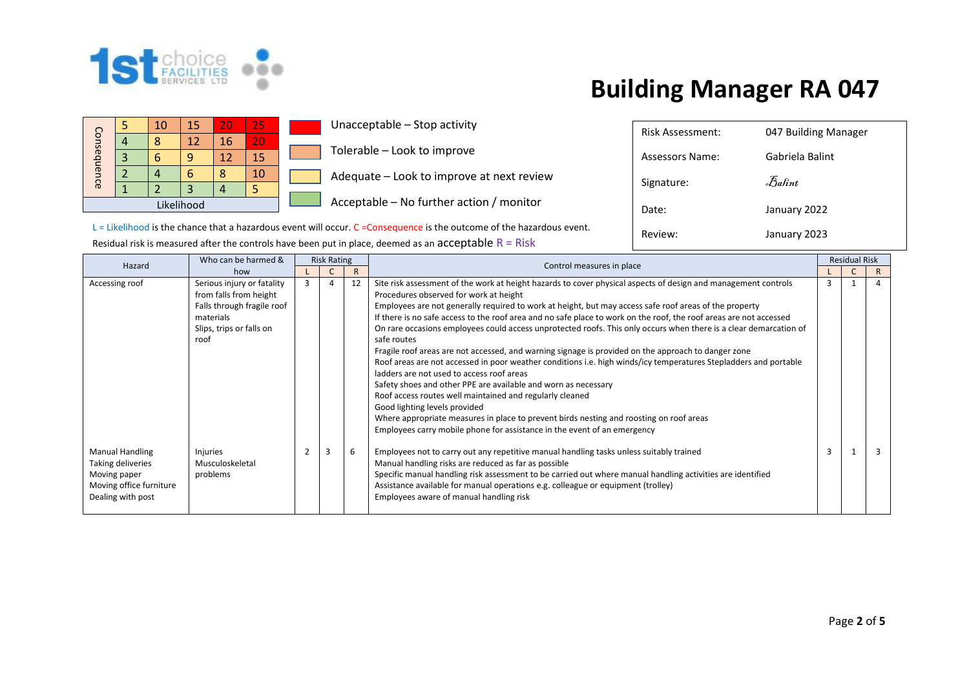

Assessors Name: Gabriela Balint

Date: January 2022

Review: January 2023

Signature:  $\bar{\mathcal{B}}$ alint

Risk Assessment: 047 Building Manager

|             |  | 10 | 15 | 20 | 25 |  |  |
|-------------|--|----|----|----|----|--|--|
|             |  | ጸ  | 12 | 16 | 20 |  |  |
| Consequence |  |    |    | 12 | 15 |  |  |
|             |  |    | 6  | ጻ  | 10 |  |  |
|             |  |    |    |    |    |  |  |
| Likelihood  |  |    |    |    |    |  |  |

Unacceptable – Stop activity

Tolerable – Look to improve

Adequate – Look to improve at next review

Acceptable – No further action / monitor

L = Likelihood is the chance that a hazardous event will occur. C = Consequence is the outcome of the hazardous event. Residual risk is measured after the controls have been put in place, deemed as an acceptable  $R = Risk$ 

| Hazard                                                                                                      | Who can be harmed &                                                                                                                 |   | <b>Risk Rating</b> |              | Control measures in place                                                                                                                                                                                                                                                                                                                                                                                                                                                                                                                                                                                                                                                                                                                                                                                                                                                                                                                                           |   | <b>Residual Risk</b> |   |
|-------------------------------------------------------------------------------------------------------------|-------------------------------------------------------------------------------------------------------------------------------------|---|--------------------|--------------|---------------------------------------------------------------------------------------------------------------------------------------------------------------------------------------------------------------------------------------------------------------------------------------------------------------------------------------------------------------------------------------------------------------------------------------------------------------------------------------------------------------------------------------------------------------------------------------------------------------------------------------------------------------------------------------------------------------------------------------------------------------------------------------------------------------------------------------------------------------------------------------------------------------------------------------------------------------------|---|----------------------|---|
|                                                                                                             | how                                                                                                                                 |   |                    | $\mathsf{R}$ |                                                                                                                                                                                                                                                                                                                                                                                                                                                                                                                                                                                                                                                                                                                                                                                                                                                                                                                                                                     |   |                      | R |
| Accessing roof                                                                                              | Serious injury or fatality<br>from falls from height<br>Falls through fragile roof<br>materials<br>Slips, trips or falls on<br>roof | 3 | 4                  | 12           | Site risk assessment of the work at height hazards to cover physical aspects of design and management controls<br>Procedures observed for work at height<br>Employees are not generally required to work at height, but may access safe roof areas of the property<br>If there is no safe access to the roof area and no safe place to work on the roof, the roof areas are not accessed<br>On rare occasions employees could access unprotected roofs. This only occurs when there is a clear demarcation of<br>safe routes<br>Fragile roof areas are not accessed, and warning signage is provided on the approach to danger zone<br>Roof areas are not accessed in poor weather conditions i.e. high winds/icy temperatures Stepladders and portable<br>ladders are not used to access roof areas<br>Safety shoes and other PPE are available and worn as necessary<br>Roof access routes well maintained and regularly cleaned<br>Good lighting levels provided | 3 |                      |   |
| <b>Manual Handling</b><br>Taking deliveries<br>Moving paper<br>Moving office furniture<br>Dealing with post | Injuries<br>Musculoskeletal<br>problems                                                                                             |   | 3                  | 6            | Where appropriate measures in place to prevent birds nesting and roosting on roof areas<br>Employees carry mobile phone for assistance in the event of an emergency<br>Employees not to carry out any repetitive manual handling tasks unless suitably trained<br>Manual handling risks are reduced as far as possible<br>Specific manual handling risk assessment to be carried out where manual handling activities are identified<br>Assistance available for manual operations e.g. colleague or equipment (trolley)<br>Employees aware of manual handling risk                                                                                                                                                                                                                                                                                                                                                                                                 | 3 |                      |   |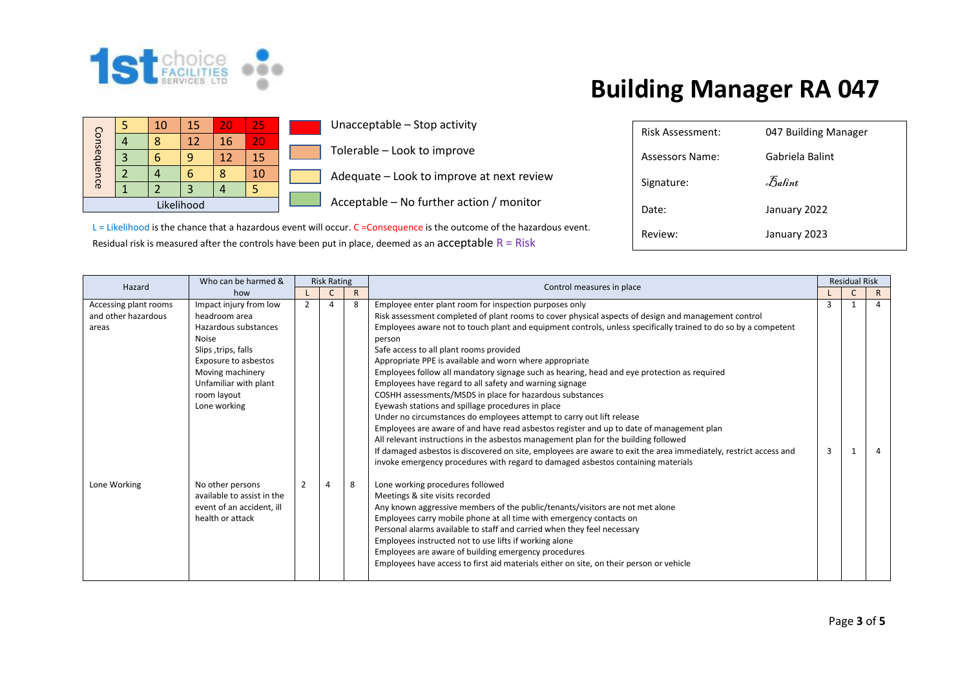

|             |  | 10 | 15          | 20 | 25 |  |  |
|-------------|--|----|-------------|----|----|--|--|
|             |  | ጸ  | $12 \times$ | 16 | 20 |  |  |
| Consequence |  |    |             | 12 | 15 |  |  |
|             |  |    |             | Я  | 10 |  |  |
|             |  |    |             |    |    |  |  |
| Likelihood  |  |    |             |    |    |  |  |

Unacceptable – Stop activity

Tolerable – Look to improve

Adequate – Look to improve at next review

Acceptable – No further action / monitor

L = Likelihood is the chance that a hazardous event will occur. C = Consequence is the outcome of the hazardous event. Residual risk is measured after the controls have been put in place, deemed as an  $acceptable R = Risk$ 

| Risk Assessment: | 047 Building Manager |
|------------------|----------------------|
| Assessors Name:  | Gabriela Balint      |
| Signature:       | Balint               |
| Date:            | January 2022         |
| Review:          | January 2023         |

| Hazard                                                | Who can be harmed &                                                                                                                                                                                        | <b>Risk Rating</b> |                |              |                                                                                                                                                                                                                                                                                                                                                                                                                                                                                                                                                                                                                                                                                                                                                                                                                                                                                                                                                                                                                                                                                                                                                |   | <b>Residual Risk</b> |                |
|-------------------------------------------------------|------------------------------------------------------------------------------------------------------------------------------------------------------------------------------------------------------------|--------------------|----------------|--------------|------------------------------------------------------------------------------------------------------------------------------------------------------------------------------------------------------------------------------------------------------------------------------------------------------------------------------------------------------------------------------------------------------------------------------------------------------------------------------------------------------------------------------------------------------------------------------------------------------------------------------------------------------------------------------------------------------------------------------------------------------------------------------------------------------------------------------------------------------------------------------------------------------------------------------------------------------------------------------------------------------------------------------------------------------------------------------------------------------------------------------------------------|---|----------------------|----------------|
|                                                       | how                                                                                                                                                                                                        |                    | C              | $\mathsf{R}$ | Control measures in place                                                                                                                                                                                                                                                                                                                                                                                                                                                                                                                                                                                                                                                                                                                                                                                                                                                                                                                                                                                                                                                                                                                      |   | C                    | $\mathsf{R}$   |
| Accessing plant rooms<br>and other hazardous<br>areas | Impact injury from low<br>headroom area<br>Hazardous substances<br><b>Noise</b><br>Slips, trips, falls<br>Exposure to asbestos<br>Moving machinery<br>Unfamiliar with plant<br>room layout<br>Lone working | 2                  | Δ              | 8            | Employee enter plant room for inspection purposes only<br>Risk assessment completed of plant rooms to cover physical aspects of design and management control<br>Employees aware not to touch plant and equipment controls, unless specifically trained to do so by a competent<br>person<br>Safe access to all plant rooms provided<br>Appropriate PPE is available and worn where appropriate<br>Employees follow all mandatory signage such as hearing, head and eye protection as required<br>Employees have regard to all safety and warning signage<br>COSHH assessments/MSDS in place for hazardous substances<br>Eyewash stations and spillage procedures in place<br>Under no circumstances do employees attempt to carry out lift release<br>Employees are aware of and have read asbestos register and up to date of management plan<br>All relevant instructions in the asbestos management plan for the building followed<br>If damaged asbestos is discovered on site, employees are aware to exit the area immediately, restrict access and<br>invoke emergency procedures with regard to damaged asbestos containing materials | 3 |                      | $\overline{a}$ |
| Lone Working                                          | No other persons<br>available to assist in the<br>event of an accident, ill<br>health or attack                                                                                                            | $\overline{2}$     | $\overline{4}$ | 8            | Lone working procedures followed<br>Meetings & site visits recorded<br>Any known aggressive members of the public/tenants/visitors are not met alone<br>Employees carry mobile phone at all time with emergency contacts on<br>Personal alarms available to staff and carried when they feel necessary<br>Employees instructed not to use lifts if working alone<br>Employees are aware of building emergency procedures<br>Employees have access to first aid materials either on site, on their person or vehicle                                                                                                                                                                                                                                                                                                                                                                                                                                                                                                                                                                                                                            |   |                      |                |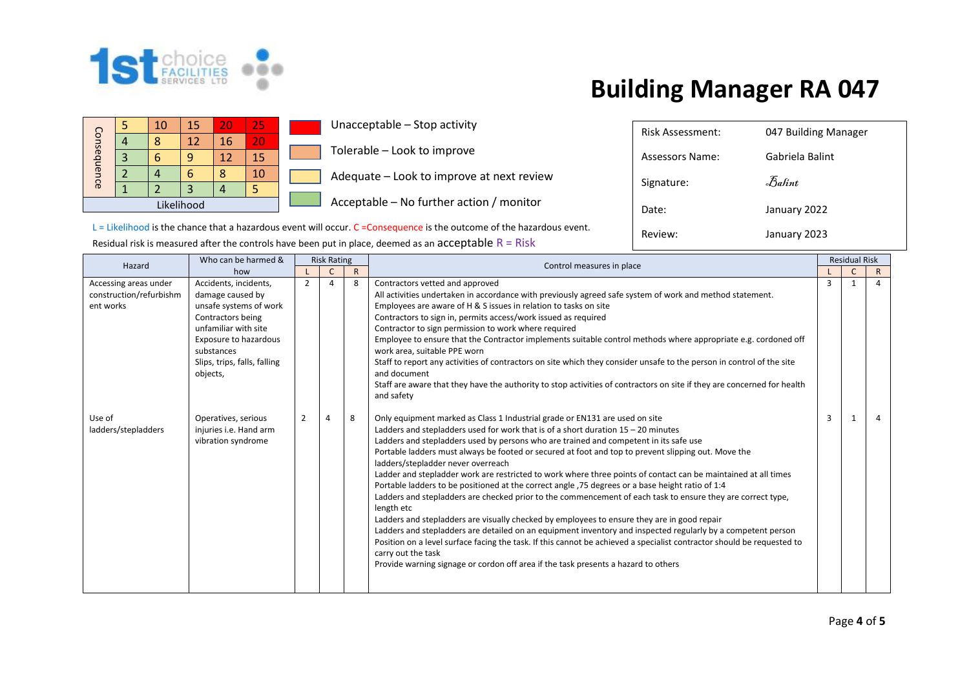

Assessors Name: Gabriela Balint

Date: January 2022

Review: January 2023

Signature:  $\bar{\mathcal{B}}$ alint

Risk Assessment: 047 Building Manager

|             |  | 10 | 15 | 20 | 25 |  |  |
|-------------|--|----|----|----|----|--|--|
|             |  | Ω  | 12 | 16 | 20 |  |  |
| Consequence |  |    |    | 12 | 15 |  |  |
|             |  |    | 6  | ጸ  | 10 |  |  |
|             |  |    |    |    |    |  |  |
| Likelihood  |  |    |    |    |    |  |  |

Unacceptable – Stop activity

Tolerable – Look to improve

Adequate – Look to improve at next review

Acceptable – No further action / monitor

 $L =$  Likelihood is the chance that a hazardous event will occur.  $C =$ Consequence is the outcome of the hazardous event. Residual risk is measured after the controls have been put in place, deemed as an acceptable  $R = R$ isk

| Hazard                                                        | Who can be harmed &                                                                                                                                                                                 |   | <b>Risk Rating</b> |              | Control measures in place                                                                                                                                                                                                                                                                                                                                                                                                                                                                                                                                                                                                                                                                                                                                                                                                                                                                                                                                                                                                                                                                                                                                                                                        |   | <b>Residual Risk</b> |              |
|---------------------------------------------------------------|-----------------------------------------------------------------------------------------------------------------------------------------------------------------------------------------------------|---|--------------------|--------------|------------------------------------------------------------------------------------------------------------------------------------------------------------------------------------------------------------------------------------------------------------------------------------------------------------------------------------------------------------------------------------------------------------------------------------------------------------------------------------------------------------------------------------------------------------------------------------------------------------------------------------------------------------------------------------------------------------------------------------------------------------------------------------------------------------------------------------------------------------------------------------------------------------------------------------------------------------------------------------------------------------------------------------------------------------------------------------------------------------------------------------------------------------------------------------------------------------------|---|----------------------|--------------|
|                                                               | how                                                                                                                                                                                                 |   |                    | $\mathsf{R}$ |                                                                                                                                                                                                                                                                                                                                                                                                                                                                                                                                                                                                                                                                                                                                                                                                                                                                                                                                                                                                                                                                                                                                                                                                                  |   | C                    | $\mathsf{R}$ |
| Accessing areas under<br>construction/refurbishm<br>ent works | Accidents, incidents,<br>damage caused by<br>unsafe systems of work<br>Contractors being<br>unfamiliar with site<br>Exposure to hazardous<br>substances<br>Slips, trips, falls, falling<br>objects, | 2 | 4                  | 8            | Contractors vetted and approved<br>All activities undertaken in accordance with previously agreed safe system of work and method statement.<br>Employees are aware of H & S issues in relation to tasks on site<br>Contractors to sign in, permits access/work issued as required<br>Contractor to sign permission to work where required<br>Employee to ensure that the Contractor implements suitable control methods where appropriate e.g. cordoned off<br>work area, suitable PPE worn<br>Staff to report any activities of contractors on site which they consider unsafe to the person in control of the site<br>and document<br>Staff are aware that they have the authority to stop activities of contractors on site if they are concerned for health<br>and safety                                                                                                                                                                                                                                                                                                                                                                                                                                    | 3 | $\mathbf{1}$         | $\Delta$     |
| Use of<br>ladders/stepladders                                 | Operatives, serious<br>injuries i.e. Hand arm<br>vibration syndrome                                                                                                                                 | 2 |                    | 8            | Only equipment marked as Class 1 Industrial grade or EN131 are used on site<br>Ladders and stepladders used for work that is of a short duration $15 - 20$ minutes<br>Ladders and stepladders used by persons who are trained and competent in its safe use<br>Portable ladders must always be footed or secured at foot and top to prevent slipping out. Move the<br>ladders/stepladder never overreach<br>Ladder and stepladder work are restricted to work where three points of contact can be maintained at all times<br>Portable ladders to be positioned at the correct angle ,75 degrees or a base height ratio of 1:4<br>Ladders and stepladders are checked prior to the commencement of each task to ensure they are correct type,<br>length etc<br>Ladders and stepladders are visually checked by employees to ensure they are in good repair<br>Ladders and stepladders are detailed on an equipment inventory and inspected regularly by a competent person<br>Position on a level surface facing the task. If this cannot be achieved a specialist contractor should be requested to<br>carry out the task<br>Provide warning signage or cordon off area if the task presents a hazard to others | 3 | $\mathbf{1}$         | 4            |